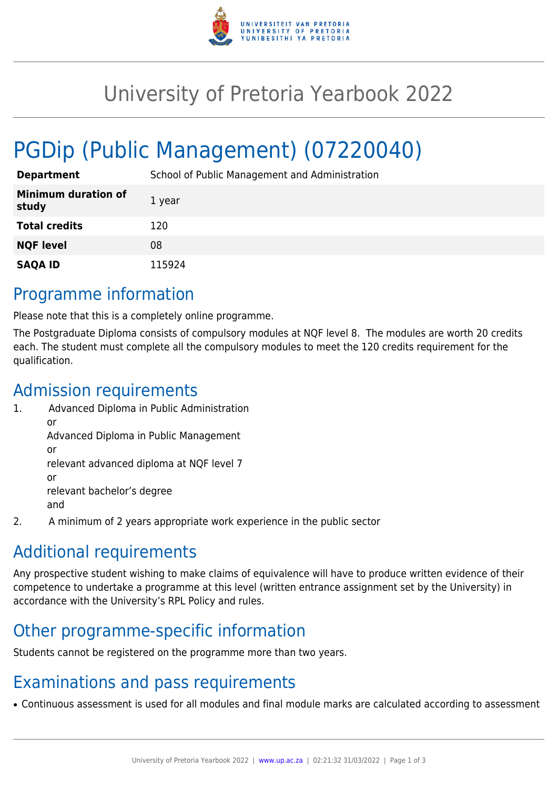

## University of Pretoria Yearbook 2022

# PGDip (Public Management) (07220040)

| <b>Department</b>                   | School of Public Management and Administration |
|-------------------------------------|------------------------------------------------|
| <b>Minimum duration of</b><br>study | 1 year                                         |
| <b>Total credits</b>                | 120                                            |
| <b>NQF level</b>                    | 08                                             |
| <b>SAQA ID</b>                      | 115924                                         |

#### Programme information

Please note that this is a completely online programme.

The Postgraduate Diploma consists of compulsory modules at NQF level 8. The modules are worth 20 credits each. The student must complete all the compulsory modules to meet the 120 credits requirement for the qualification.

#### Admission requirements

- 1. Advanced Diploma in Public Administration or Advanced Diploma in Public Management or relevant advanced diploma at NQF level 7 or relevant bachelor's degree and
- 2. A minimum of 2 years appropriate work experience in the public sector

### Additional requirements

Any prospective student wishing to make claims of equivalence will have to produce written evidence of their competence to undertake a programme at this level (written entrance assignment set by the University) in accordance with the University's RPL Policy and rules.

### Other programme-specific information

Students cannot be registered on the programme more than two years.

### Examinations and pass requirements

• Continuous assessment is used for all modules and final module marks are calculated according to assessment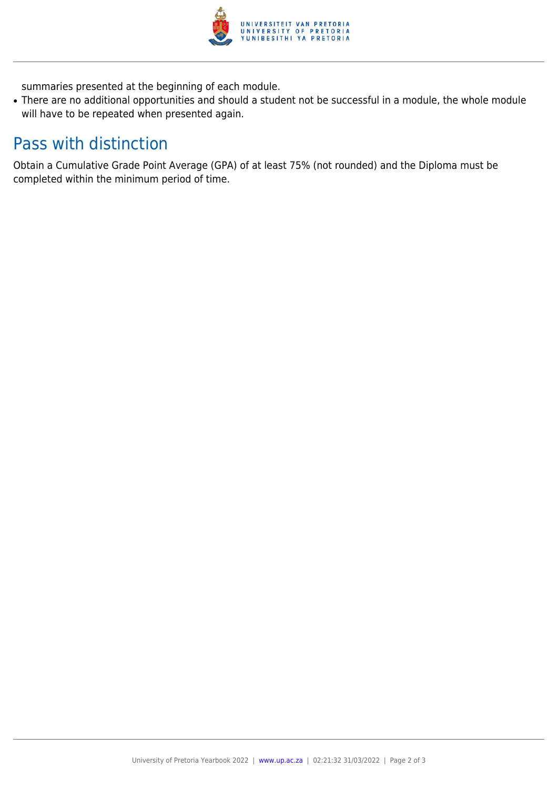

summaries presented at the beginning of each module.

• There are no additional opportunities and should a student not be successful in a module, the whole module will have to be repeated when presented again.

### Pass with distinction

Obtain a Cumulative Grade Point Average (GPA) of at least 75% (not rounded) and the Diploma must be completed within the minimum period of time.